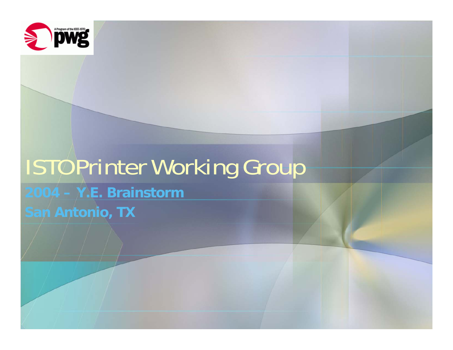

# ISTO Printer Working Group

**2004 – Y.E. Brainstorm San Antonio, TX**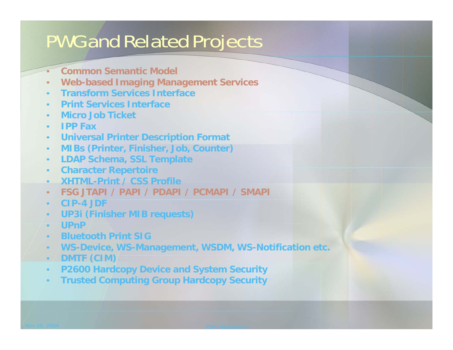## PWG and Related Projects

- •**Common Semantic Model**
- •**Web-based Imaging Management Services**
- •**Transform Services Interface**
- •**Print Services Interface**
- •**Micro Job Ticket**
- •**IPP Fax**
- •**Universal Printer Description Format**
- •**MIBs (Printer, Finisher, Job, Counter)**
- •**LDAP Schema, SSL Template**
- •**Character Repertoire**
- •**XHTML-Print / CSS Profile**
- •**FSG JTAPI / PAPI / PDAPI / PCMAPI / SMAPI**
- •**CIP-4 JDF**
- •**UP3i (Finisher MIB requests)**
- •**UPnP**
- •**Bluetooth Print SIG**
- •**WS-Device, WS-Management, WSDM, WS-Notification etc.**
- •**DMTF (CIM)**
- •**P2600 Hardcopy Device and System Security**
- •**Trusted Computing Group Hardcopy Security**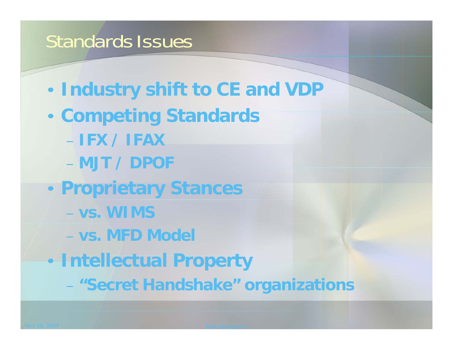#### Standards Issues

- $\bigcirc$ **Industry shift to CE and VDP**
- • **Competing Standards** – **IFX / IFAX**– **MJT / DPOF**
- $\bigcirc$  **Proprietary Stances**
	- **vs. WIMS**
	- **vs. MFD Model**
- $\bigcirc$  **Intellectual Property**
	- **"Secret Handshake" organizations**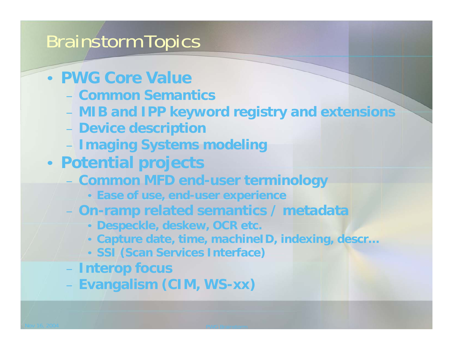## Brainstorm Topics

- **PWG Core Value**
	- **Common Semantics**
	- **MIB and IPP keyword registry and extensions**
	- **Device description**
	- **Imaging Systems modeling**
- **Potential projects**
	- **Common MFD end-user terminology**
		- **Ease of use, end-user experience**
	- **On-ramp related semantics / metadata**
		- **Despeckle, deskew, OCR etc.**
		- **Capture date, time, machineID, indexing, descr…**
		- **SSI (Scan Services Interface)**
	- **Interop focus**
	- **Evangalism (CIM, WS-xx)**